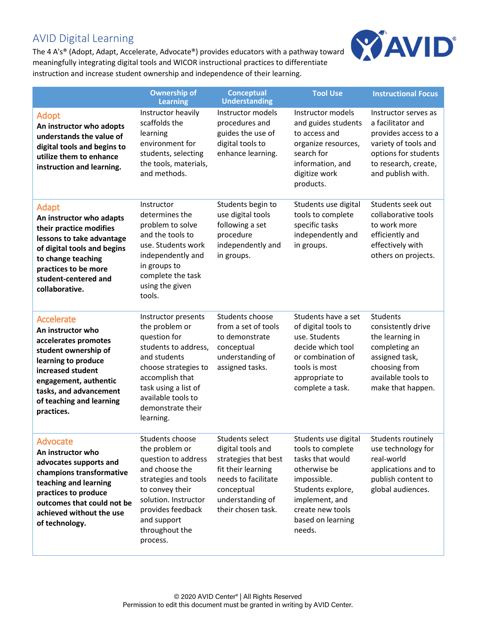# AVID Digital Learning

The 4 A's® (Adopt, Adapt, Accelerate, Advocate®) provides educators with a pathway toward meaningfully integrating digital tools and WICOR instructional practices to differentiate instruction and increase student ownership and independence of their learning.



|                                                                                                                                                                                                                                 | <b>Ownership of</b><br><b>Learning</b>                                                                                                                                                                                   | <b>Conceptual</b><br><b>Understanding</b>                                                                                                                         | <b>Tool Use</b>                                                                                                                                                                        | <b>Instructional Focus</b>                                                                                                                                     |
|---------------------------------------------------------------------------------------------------------------------------------------------------------------------------------------------------------------------------------|--------------------------------------------------------------------------------------------------------------------------------------------------------------------------------------------------------------------------|-------------------------------------------------------------------------------------------------------------------------------------------------------------------|----------------------------------------------------------------------------------------------------------------------------------------------------------------------------------------|----------------------------------------------------------------------------------------------------------------------------------------------------------------|
| Adopt<br>An instructor who adopts<br>understands the value of<br>digital tools and begins to<br>utilize them to enhance<br>instruction and learning.                                                                            | Instructor heavily<br>scaffolds the<br>learning<br>environment for<br>students, selecting<br>the tools, materials,<br>and methods.                                                                                       | Instructor models<br>procedures and<br>guides the use of<br>digital tools to<br>enhance learning.                                                                 | Instructor models<br>and guides students<br>to access and<br>organize resources,<br>search for<br>information, and<br>digitize work<br>products.                                       | Instructor serves as<br>a facilitator and<br>provides access to a<br>variety of tools and<br>options for students<br>to research, create,<br>and publish with. |
| Adapt<br>An instructor who adapts<br>their practice modifies<br>lessons to take advantage<br>of digital tools and begins<br>to change teaching<br>practices to be more<br>student-centered and<br>collaborative.                | Instructor<br>determines the<br>problem to solve<br>and the tools to<br>use. Students work<br>independently and<br>in groups to<br>complete the task<br>using the given<br>tools.                                        | Students begin to<br>use digital tools<br>following a set<br>procedure<br>independently and<br>in groups.                                                         | Students use digital<br>tools to complete<br>specific tasks<br>independently and<br>in groups.                                                                                         | Students seek out<br>collaborative tools<br>to work more<br>efficiently and<br>effectively with<br>others on projects.                                         |
| <b>Accelerate</b><br>An instructor who<br>accelerates promotes<br>student ownership of<br>learning to produce<br>increased student<br>engagement, authentic<br>tasks, and advancement<br>of teaching and learning<br>practices. | Instructor presents<br>the problem or<br>question for<br>students to address,<br>and students<br>choose strategies to<br>accomplish that<br>task using a list of<br>available tools to<br>demonstrate their<br>learning. | Students choose<br>from a set of tools<br>to demonstrate<br>conceptual<br>understanding of<br>assigned tasks.                                                     | Students have a set<br>of digital tools to<br>use. Students<br>decide which tool<br>or combination of<br>tools is most<br>appropriate to<br>complete a task.                           | Students<br>consistently drive<br>the learning in<br>completing an<br>assigned task,<br>choosing from<br>available tools to<br>make that happen.               |
| Advocate<br>An instructor who<br>advocates supports and<br>champions transformative<br>teaching and learning<br>practices to produce<br>outcomes that could not be<br>achieved without the use<br>of technology.                | Students choose<br>the problem or<br>question to address<br>and choose the<br>strategies and tools<br>to convey their<br>solution. Instructor<br>provides feedback<br>and support<br>throughout the<br>process.          | Students select<br>digital tools and<br>strategies that best<br>fit their learning<br>needs to facilitate<br>conceptual<br>understanding of<br>their chosen task. | Students use digital<br>tools to complete<br>tasks that would<br>otherwise be<br>impossible.<br>Students explore,<br>implement, and<br>create new tools<br>based on learning<br>needs. | Students routinely<br>use technology for<br>real-world<br>applications and to<br>publish content to<br>global audiences.                                       |